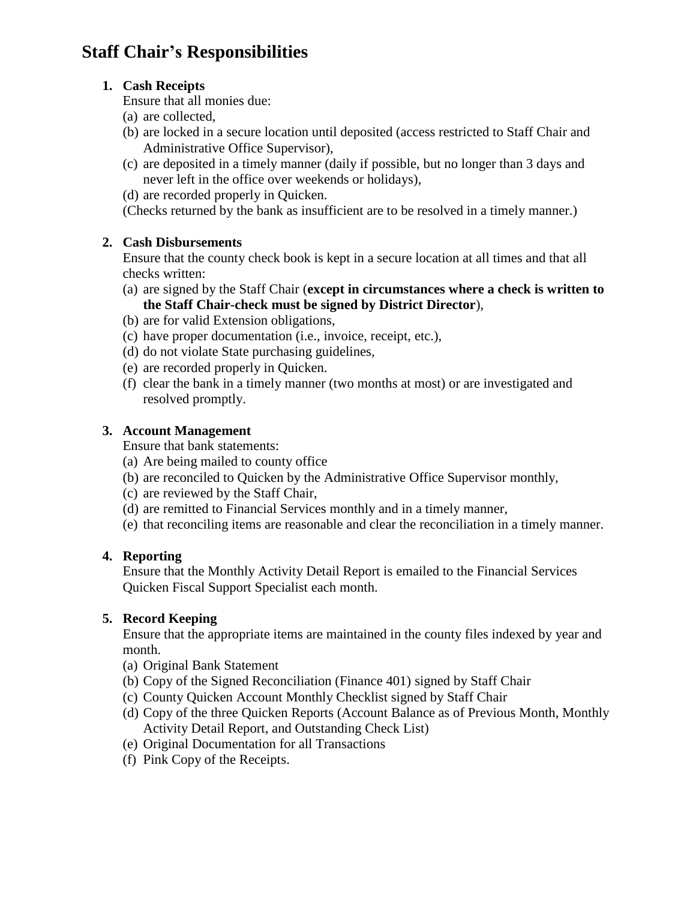# **Staff Chair's Responsibilities**

### **1. Cash Receipts**

Ensure that all monies due:

- (a) are collected,
- (b) are locked in a secure location until deposited (access restricted to Staff Chair and Administrative Office Supervisor),
- (c) are deposited in a timely manner (daily if possible, but no longer than 3 days and never left in the office over weekends or holidays),
- (d) are recorded properly in Quicken.

(Checks returned by the bank as insufficient are to be resolved in a timely manner.)

### **2. Cash Disbursements**

Ensure that the county check book is kept in a secure location at all times and that all checks written:

- (a) are signed by the Staff Chair (**except in circumstances where a check is written to the Staff Chair-check must be signed by District Director**),
- (b) are for valid Extension obligations,
- (c) have proper documentation (i.e., invoice, receipt, etc.),
- (d) do not violate State purchasing guidelines,
- (e) are recorded properly in Quicken.
- (f) clear the bank in a timely manner (two months at most) or are investigated and resolved promptly.

### **3. Account Management**

Ensure that bank statements:

- (a) Are being mailed to county office
- (b) are reconciled to Quicken by the Administrative Office Supervisor monthly,
- (c) are reviewed by the Staff Chair,
- (d) are remitted to Financial Services monthly and in a timely manner,
- (e) that reconciling items are reasonable and clear the reconciliation in a timely manner.

#### **4. Reporting**

Ensure that the Monthly Activity Detail Report is emailed to the Financial Services Quicken Fiscal Support Specialist each month.

# **5. Record Keeping**

Ensure that the appropriate items are maintained in the county files indexed by year and month.

- (a) Original Bank Statement
- (b) Copy of the Signed Reconciliation (Finance 401) signed by Staff Chair
- (c) County Quicken Account Monthly Checklist signed by Staff Chair
- (d) Copy of the three Quicken Reports (Account Balance as of Previous Month, Monthly Activity Detail Report, and Outstanding Check List)
- (e) Original Documentation for all Transactions
- (f) Pink Copy of the Receipts.